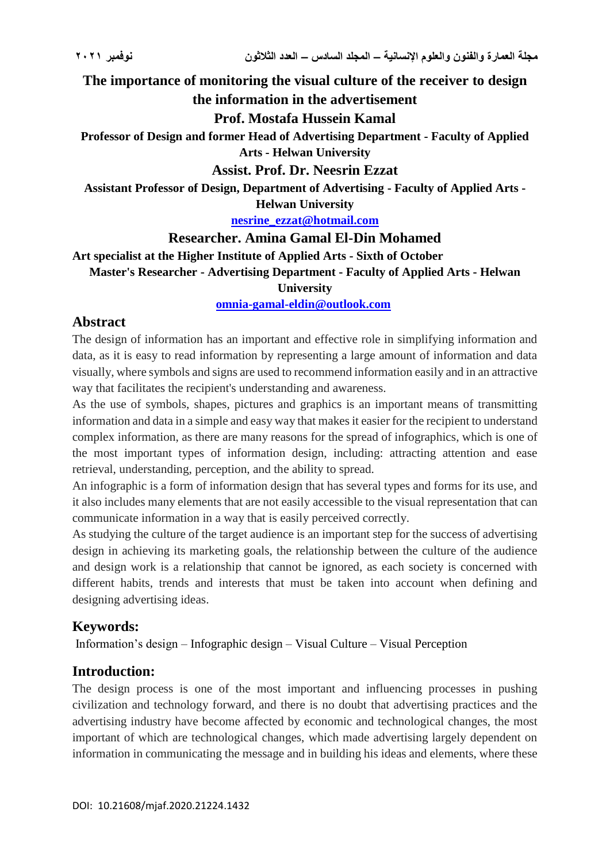**The importance of monitoring the visual culture of the receiver to design the information in the advertisement**

#### **Prof. Mostafa Hussein Kamal**

**Professor of Design and former Head of Advertising Department - Faculty of Applied Arts - Helwan University**

## **Assist. Prof. Dr. Neesrin Ezzat**

**Assistant Professor of Design, Department of Advertising - Faculty of Applied Arts - Helwan University**

**[nesrine\\_ezzat@hotmail.com](mailto:nesrine_ezzat@hotmail.com)**

#### **Researcher. Amina Gamal El-Din Mohamed**

**Art specialist at the Higher Institute of Applied Arts - Sixth of October**

**Master's Researcher - Advertising Department - Faculty of Applied Arts - Helwan** 

**University**

**[omnia-gamal-eldin@outlook.com](mailto:omnia-gamal-eldin@outlook.com)**

## **Abstract**

The design of information has an important and effective role in simplifying information and data, as it is easy to read information by representing a large amount of information and data visually, where symbols and signs are used to recommend information easily and in an attractive way that facilitates the recipient's understanding and awareness.

As the use of symbols, shapes, pictures and graphics is an important means of transmitting information and data in a simple and easy way that makes it easier for the recipient to understand complex information, as there are many reasons for the spread of infographics, which is one of the most important types of information design, including: attracting attention and ease retrieval, understanding, perception, and the ability to spread.

An infographic is a form of information design that has several types and forms for its use, and it also includes many elements that are not easily accessible to the visual representation that can communicate information in a way that is easily perceived correctly.

As studying the culture of the target audience is an important step for the success of advertising design in achieving its marketing goals, the relationship between the culture of the audience and design work is a relationship that cannot be ignored, as each society is concerned with different habits, trends and interests that must be taken into account when defining and designing advertising ideas.

# **Keywords:**

Information's design – Infographic design – Visual Culture – Visual Perception

# **Introduction:**

The design process is one of the most important and influencing processes in pushing civilization and technology forward, and there is no doubt that advertising practices and the advertising industry have become affected by economic and technological changes, the most important of which are technological changes, which made advertising largely dependent on information in communicating the message and in building his ideas and elements, where these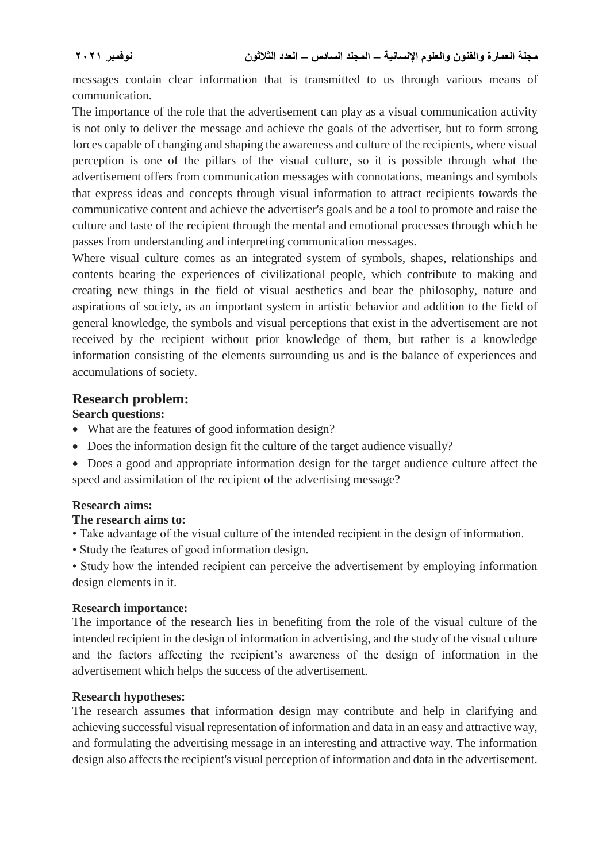messages contain clear information that is transmitted to us through various means of communication.

The importance of the role that the advertisement can play as a visual communication activity is not only to deliver the message and achieve the goals of the advertiser, but to form strong forces capable of changing and shaping the awareness and culture of the recipients, where visual perception is one of the pillars of the visual culture, so it is possible through what the advertisement offers from communication messages with connotations, meanings and symbols that express ideas and concepts through visual information to attract recipients towards the communicative content and achieve the advertiser's goals and be a tool to promote and raise the culture and taste of the recipient through the mental and emotional processes through which he passes from understanding and interpreting communication messages.

Where visual culture comes as an integrated system of symbols, shapes, relationships and contents bearing the experiences of civilizational people, which contribute to making and creating new things in the field of visual aesthetics and bear the philosophy, nature and aspirations of society, as an important system in artistic behavior and addition to the field of general knowledge, the symbols and visual perceptions that exist in the advertisement are not received by the recipient without prior knowledge of them, but rather is a knowledge information consisting of the elements surrounding us and is the balance of experiences and accumulations of society.

## **Research problem:**

### **Search questions:**

- What are the features of good information design?
- Does the information design fit the culture of the target audience visually?
- Does a good and appropriate information design for the target audience culture affect the speed and assimilation of the recipient of the advertising message?

### **Research aims:**

### **The research aims to:**

- Take advantage of the visual culture of the intended recipient in the design of information.
- Study the features of good information design.
- Study how the intended recipient can perceive the advertisement by employing information design elements in it.

#### **Research importance:**

The importance of the research lies in benefiting from the role of the visual culture of the intended recipient in the design of information in advertising, and the study of the visual culture and the factors affecting the recipient's awareness of the design of information in the advertisement which helps the success of the advertisement.

#### **Research hypotheses:**

The research assumes that information design may contribute and help in clarifying and achieving successful visual representation of information and data in an easy and attractive way, and formulating the advertising message in an interesting and attractive way. The information design also affects the recipient's visual perception of information and data in the advertisement.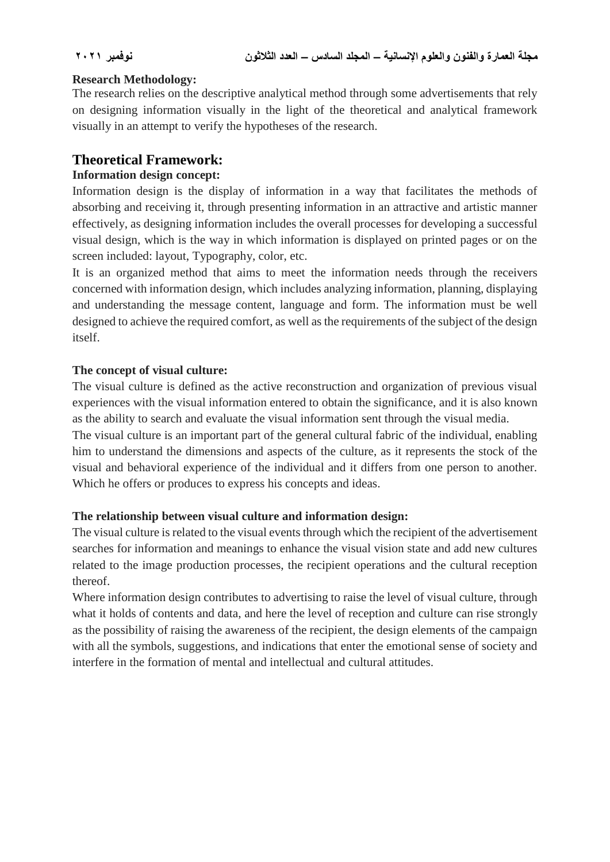#### **Research Methodology:**

The research relies on the descriptive analytical method through some advertisements that rely on designing information visually in the light of the theoretical and analytical framework visually in an attempt to verify the hypotheses of the research.

# **Theoretical Framework:**

## **Information design concept:**

Information design is the display of information in a way that facilitates the methods of absorbing and receiving it, through presenting information in an attractive and artistic manner effectively, as designing information includes the overall processes for developing a successful visual design, which is the way in which information is displayed on printed pages or on the screen included: layout, Typography, color, etc.

It is an organized method that aims to meet the information needs through the receivers concerned with information design, which includes analyzing information, planning, displaying and understanding the message content, language and form. The information must be well designed to achieve the required comfort, as well as the requirements of the subject of the design itself.

### **The concept of visual culture:**

The visual culture is defined as the active reconstruction and organization of previous visual experiences with the visual information entered to obtain the significance, and it is also known as the ability to search and evaluate the visual information sent through the visual media.

The visual culture is an important part of the general cultural fabric of the individual, enabling him to understand the dimensions and aspects of the culture, as it represents the stock of the visual and behavioral experience of the individual and it differs from one person to another. Which he offers or produces to express his concepts and ideas.

### **The relationship between visual culture and information design:**

The visual culture is related to the visual events through which the recipient of the advertisement searches for information and meanings to enhance the visual vision state and add new cultures related to the image production processes, the recipient operations and the cultural reception thereof.

Where information design contributes to advertising to raise the level of visual culture, through what it holds of contents and data, and here the level of reception and culture can rise strongly as the possibility of raising the awareness of the recipient, the design elements of the campaign with all the symbols, suggestions, and indications that enter the emotional sense of society and interfere in the formation of mental and intellectual and cultural attitudes.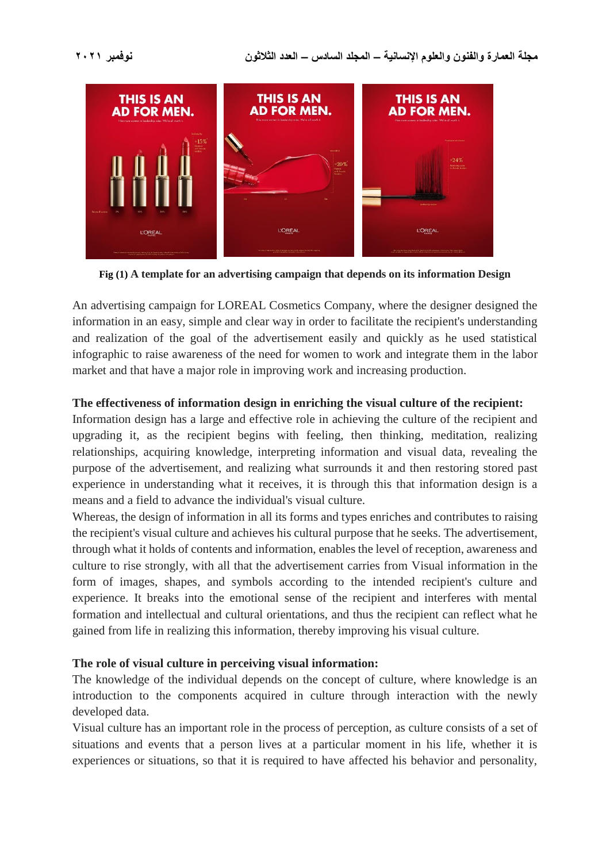

**Fig (1) A template for an advertising campaign that depends on its information Design**

An advertising campaign for LOREAL Cosmetics Company, where the designer designed the information in an easy, simple and clear way in order to facilitate the recipient's understanding and realization of the goal of the advertisement easily and quickly as he used statistical infographic to raise awareness of the need for women to work and integrate them in the labor market and that have a major role in improving work and increasing production.

## **The effectiveness of information design in enriching the visual culture of the recipient:**

Information design has a large and effective role in achieving the culture of the recipient and upgrading it, as the recipient begins with feeling, then thinking, meditation, realizing relationships, acquiring knowledge, interpreting information and visual data, revealing the purpose of the advertisement, and realizing what surrounds it and then restoring stored past experience in understanding what it receives, it is through this that information design is a means and a field to advance the individual's visual culture.

Whereas, the design of information in all its forms and types enriches and contributes to raising the recipient's visual culture and achieves his cultural purpose that he seeks. The advertisement, through what it holds of contents and information, enables the level of reception, awareness and culture to rise strongly, with all that the advertisement carries from Visual information in the form of images, shapes, and symbols according to the intended recipient's culture and experience. It breaks into the emotional sense of the recipient and interferes with mental formation and intellectual and cultural orientations, and thus the recipient can reflect what he gained from life in realizing this information, thereby improving his visual culture.

# **The role of visual culture in perceiving visual information:**

The knowledge of the individual depends on the concept of culture, where knowledge is an introduction to the components acquired in culture through interaction with the newly developed data.

Visual culture has an important role in the process of perception, as culture consists of a set of situations and events that a person lives at a particular moment in his life, whether it is experiences or situations, so that it is required to have affected his behavior and personality,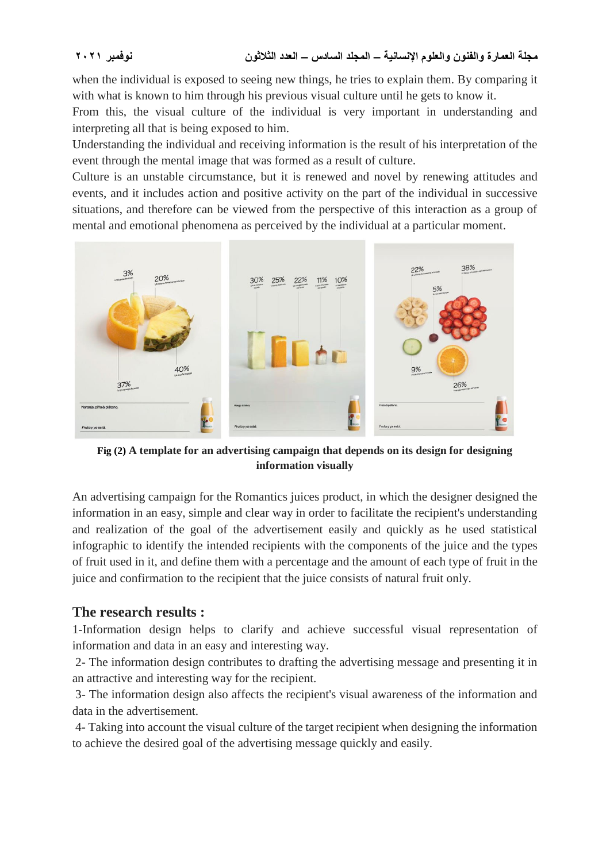when the individual is exposed to seeing new things, he tries to explain them. By comparing it with what is known to him through his previous visual culture until he gets to know it.

From this, the visual culture of the individual is very important in understanding and interpreting all that is being exposed to him.

Understanding the individual and receiving information is the result of his interpretation of the event through the mental image that was formed as a result of culture.

Culture is an unstable circumstance, but it is renewed and novel by renewing attitudes and events, and it includes action and positive activity on the part of the individual in successive situations, and therefore can be viewed from the perspective of this interaction as a group of mental and emotional phenomena as perceived by the individual at a particular moment.



**Fig (2) A template for an advertising campaign that depends on its design for designing information visually**

An advertising campaign for the Romantics juices product, in which the designer designed the information in an easy, simple and clear way in order to facilitate the recipient's understanding and realization of the goal of the advertisement easily and quickly as he used statistical infographic to identify the intended recipients with the components of the juice and the types of fruit used in it, and define them with a percentage and the amount of each type of fruit in the juice and confirmation to the recipient that the juice consists of natural fruit only.

# **The research results :**

1-Information design helps to clarify and achieve successful visual representation of information and data in an easy and interesting way.

2- The information design contributes to drafting the advertising message and presenting it in an attractive and interesting way for the recipient.

3- The information design also affects the recipient's visual awareness of the information and data in the advertisement.

4- Taking into account the visual culture of the target recipient when designing the information to achieve the desired goal of the advertising message quickly and easily.